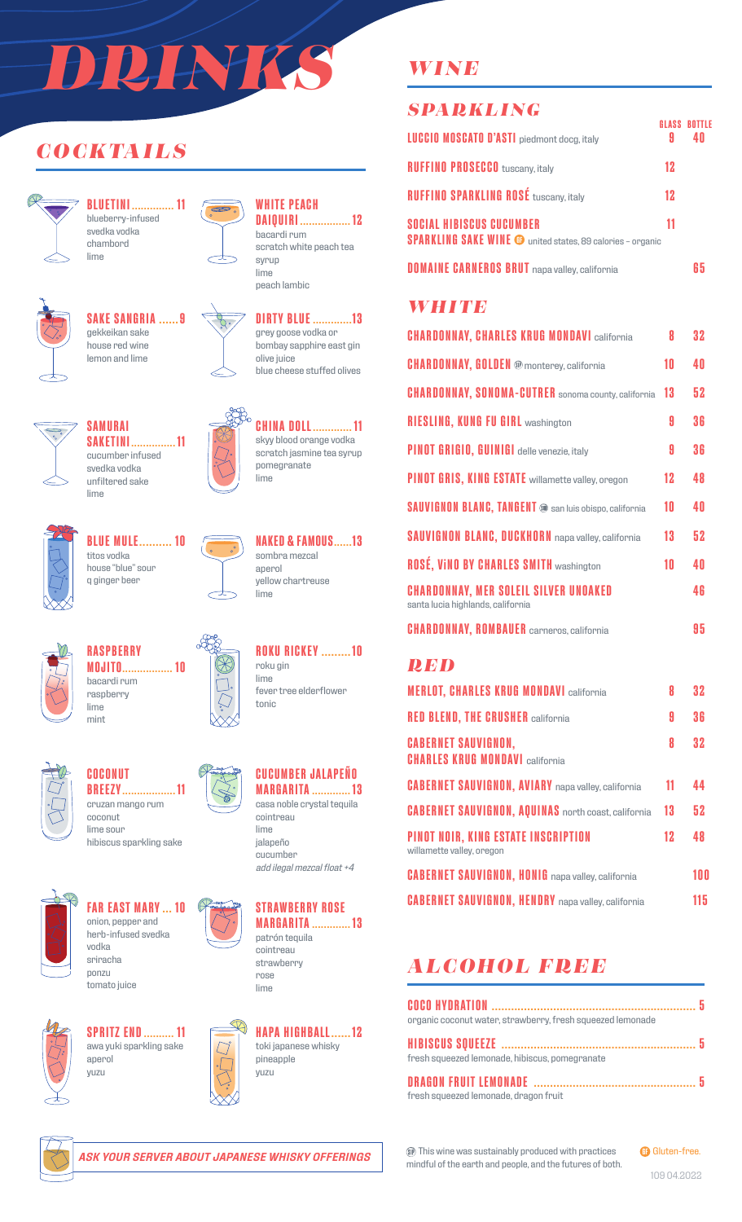# *DRINKS*

 $\infty$ 

## *COCKTAILS*



**BLUETINI .............. 11** blueberry-infused svedka vodka chambord lime



#### **SAKE SANGRIA ......9** gekkeikan sake house red wine



## lemon and lime



**WHITE PEACH**

**DAIQUIRI ................. 12**



grey goose vodka or bombay sapphire east gin olive juice blue cheese stuffed olives



**CHINA DOLL............. 11** skyy blood orange vodka scratch jasmine tea syrup pomegranate lime

**NAKED & FAMOUS......13**

**ROKU RICKEY .........10**

fever tree elderflower

sombra mezcal aperol

lime

roku gin lime

tonic

yellow chartreuse



**BLUE MULE.......... 10** titos vodka house "blue" sour q ginger beer

**SAMURAI**

svedka vodka unfiltered sake

lime



**RASPBERRY MOJITO................. 10** bacardi rum raspberry lime mint





**COCONUT BREEZY.................. 11** cruzan mango rum coconut lime sour

hibiscus sparkling sake



**FAR EAST MARY ... 10** onion, pepper and herb-infused svedka vodka sriracha

ponzu tomato juice



**SPRITZ END.......... 11** awa yuki sparkling sake aperol yuzu





**CUCUMBER JALAPEÑO**

jalapeño cucumber *add ilegal mezcal float +4*









## *WINE*

## *SPARKLING* **LUCCIO MOSCATO D'ASTI** piedmont docg, italy **9 40 RUFFINO PROSECCO** tuscany, italy **12 RUFFINO SPARKLING ROSÉ** tuscany, italy **12 SOCIAL HIBISCUS CUCUMBER 11 SPARKLING SAKE WINE @** united states, 89 calories - organic **DOMAINE CARNEROS BRUT** napa valley, california **65** *WHITE* **CHARDONNAY, CHARLES KRUG MONDAVI** california **8 32 CHARDONNAY, GOLDEN** monterey, california **10 40 CHARDONNAY, SONOMA-CUTRER** sonoma county, california **13 52 GLASS BOTTLE**

**RIESLING, KUNG FU GIRL** washington **9 36 PINOT GRIGIO, GUINIGI** delle venezie, italy **9 36 PINOT GRIS, KING ESTATE** willamette valley, oregon **12 48 SAUVIGNON BLANC, TANGENT**  $\bullet$  san luis obispo, california **10 40 SAUVIGNON BLANC, DUCKHORN** napa valley, california **13 52 ROSÉ, ViNO BY CHARLES SMITH** washington **10 40 CHARDONNAY, MER SOLEIL SILVER UNOAKED 46** santa lucia highlands, california **CHARDONNAY, ROMBAUER** carneros, california **95** 

#### *RED*

| <b>MERLOT, CHARLES KRUG MONDAVI california</b>                          | 8  | 32  |
|-------------------------------------------------------------------------|----|-----|
| <b>RED BLEND, THE CRUSHER california</b>                                | A  | 36  |
| <b>CABERNET SAUVIGNON,</b><br><b>CHARLES KRUG MONDAVI california</b>    | 8  | 32  |
| <b>CABERNET SAUVIGNON, AVIARY</b> napa valley, california               | 11 | 44  |
| <b>CABERNET SAUVIGNON, AQUINAS</b> north coast, california              | 13 | 52  |
| <b>PINOT NOIR, KING ESTATE INSCRIPTION</b><br>willamette valley, oregon | 12 | 48  |
| <b>CABERNET SAUVIGNON, HONIG</b> napa valley, california                |    | 100 |
| <b>CABERNET SAUVIGNON, HENDRY</b> napa valley, california               |    | 115 |

## *ALCOHOL FREE*

| organic coconut water, strawberry, fresh squeezed lemonade |    |
|------------------------------------------------------------|----|
| fresh squeezed lemonade, hibiscus, pomegranate             |    |
| fresh squeezed lemonade, dragon fruit                      | -5 |

This wine was sustainably produced with practices mindful of the earth and people, and the futures of both. **GB** Gluten-free.

109 04.2022